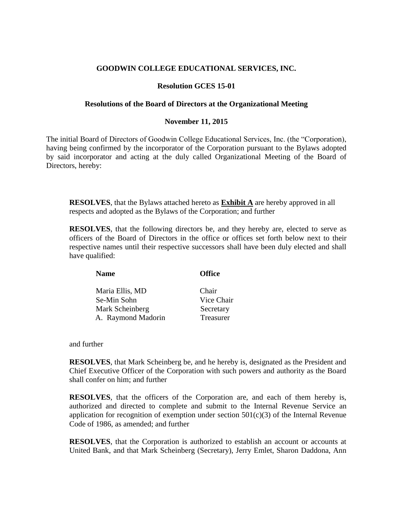## **GOODWIN COLLEGE EDUCATIONAL SERVICES, INC.**

## **Resolution GCES 15-01**

#### **Resolutions of the Board of Directors at the Organizational Meeting**

#### **November 11, 2015**

The initial Board of Directors of Goodwin College Educational Services, Inc. (the "Corporation), having being confirmed by the incorporator of the Corporation pursuant to the Bylaws adopted by said incorporator and acting at the duly called Organizational Meeting of the Board of Directors, hereby:

**RESOLVES**, that the Bylaws attached hereto as **Exhibit A** are hereby approved in all respects and adopted as the Bylaws of the Corporation; and further

**RESOLVES**, that the following directors be, and they hereby are, elected to serve as officers of the Board of Directors in the office or offices set forth below next to their respective names until their respective successors shall have been duly elected and shall have qualified:

| <b>Name</b>        | <b>Office</b> |
|--------------------|---------------|
| Maria Ellis, MD    | Chair         |
| Se-Min Sohn        | Vice Chair    |
| Mark Scheinberg    | Secretary     |
| A. Raymond Madorin | Treasurer     |

#### and further

**RESOLVES**, that Mark Scheinberg be, and he hereby is, designated as the President and Chief Executive Officer of the Corporation with such powers and authority as the Board shall confer on him; and further

**RESOLVES**, that the officers of the Corporation are, and each of them hereby is, authorized and directed to complete and submit to the Internal Revenue Service an application for recognition of exemption under section  $501(c)(3)$  of the Internal Revenue Code of 1986, as amended; and further

**RESOLVES**, that the Corporation is authorized to establish an account or accounts at United Bank, and that Mark Scheinberg (Secretary), Jerry Emlet, Sharon Daddona, Ann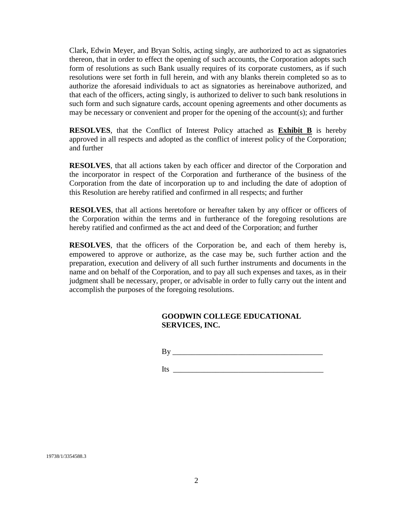Clark, Edwin Meyer, and Bryan Soltis, acting singly, are authorized to act as signatories thereon, that in order to effect the opening of such accounts, the Corporation adopts such form of resolutions as such Bank usually requires of its corporate customers, as if such resolutions were set forth in full herein, and with any blanks therein completed so as to authorize the aforesaid individuals to act as signatories as hereinabove authorized, and that each of the officers, acting singly, is authorized to deliver to such bank resolutions in such form and such signature cards, account opening agreements and other documents as may be necessary or convenient and proper for the opening of the account(s); and further

**RESOLVES**, that the Conflict of Interest Policy attached as **Exhibit B** is hereby approved in all respects and adopted as the conflict of interest policy of the Corporation; and further

**RESOLVES**, that all actions taken by each officer and director of the Corporation and the incorporator in respect of the Corporation and furtherance of the business of the Corporation from the date of incorporation up to and including the date of adoption of this Resolution are hereby ratified and confirmed in all respects; and further

**RESOLVES**, that all actions heretofore or hereafter taken by any officer or officers of the Corporation within the terms and in furtherance of the foregoing resolutions are hereby ratified and confirmed as the act and deed of the Corporation; and further

**RESOLVES**, that the officers of the Corporation be, and each of them hereby is, empowered to approve or authorize, as the case may be, such further action and the preparation, execution and delivery of all such further instruments and documents in the name and on behalf of the Corporation, and to pay all such expenses and taxes, as in their judgment shall be necessary, proper, or advisable in order to fully carry out the intent and accomplish the purposes of the foregoing resolutions.

## **GOODWIN COLLEGE EDUCATIONAL SERVICES, INC.**

By \_\_\_\_\_\_\_\_\_\_\_\_\_\_\_\_\_\_\_\_\_\_\_\_\_\_\_\_\_\_\_\_\_\_\_\_\_\_\_

Its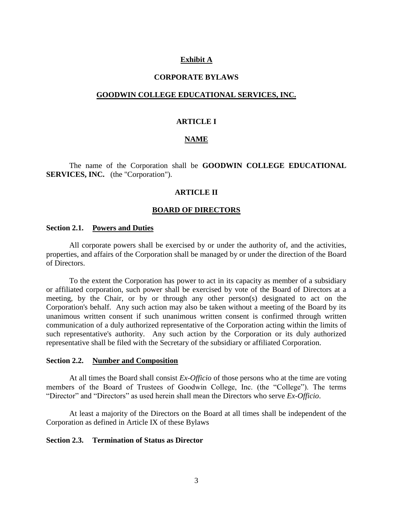#### **Exhibit A**

#### **CORPORATE BYLAWS**

#### **GOODWIN COLLEGE EDUCATIONAL SERVICES, INC.**

### **ARTICLE I**

#### **NAME**

The name of the Corporation shall be **GOODWIN COLLEGE EDUCATIONAL SERVICES, INC.** (the "Corporation").

### **ARTICLE II**

#### **BOARD OF DIRECTORS**

#### **Section 2.1. Powers and Duties**

All corporate powers shall be exercised by or under the authority of, and the activities, properties, and affairs of the Corporation shall be managed by or under the direction of the Board of Directors.

To the extent the Corporation has power to act in its capacity as member of a subsidiary or affiliated corporation, such power shall be exercised by vote of the Board of Directors at a meeting, by the Chair, or by or through any other person(s) designated to act on the Corporation's behalf. Any such action may also be taken without a meeting of the Board by its unanimous written consent if such unanimous written consent is confirmed through written communication of a duly authorized representative of the Corporation acting within the limits of such representative's authority. Any such action by the Corporation or its duly authorized representative shall be filed with the Secretary of the subsidiary or affiliated Corporation.

#### **Section 2.2. Number and Composition**

At all times the Board shall consist *Ex-Officio* of those persons who at the time are voting members of the Board of Trustees of Goodwin College, Inc. (the "College"). The terms "Director" and "Directors" as used herein shall mean the Directors who serve *Ex-Officio*.

At least a majority of the Directors on the Board at all times shall be independent of the Corporation as defined in Article IX of these Bylaws

#### **Section 2.3. Termination of Status as Director**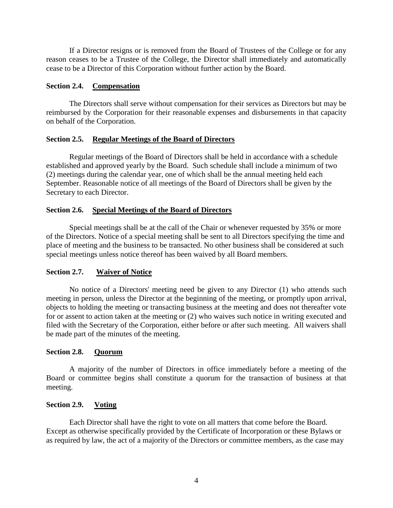If a Director resigns or is removed from the Board of Trustees of the College or for any reason ceases to be a Trustee of the College, the Director shall immediately and automatically cease to be a Director of this Corporation without further action by the Board.

## **Section 2.4. Compensation**

The Directors shall serve without compensation for their services as Directors but may be reimbursed by the Corporation for their reasonable expenses and disbursements in that capacity on behalf of the Corporation.

## **Section 2.5. Regular Meetings of the Board of Directors**

Regular meetings of the Board of Directors shall be held in accordance with a schedule established and approved yearly by the Board. Such schedule shall include a minimum of two (2) meetings during the calendar year, one of which shall be the annual meeting held each September. Reasonable notice of all meetings of the Board of Directors shall be given by the Secretary to each Director.

## **Section 2.6. Special Meetings of the Board of Directors**

Special meetings shall be at the call of the Chair or whenever requested by 35% or more of the Directors. Notice of a special meeting shall be sent to all Directors specifying the time and place of meeting and the business to be transacted. No other business shall be considered at such special meetings unless notice thereof has been waived by all Board members.

## **Section 2.7. Waiver of Notice**

No notice of a Directors' meeting need be given to any Director (1) who attends such meeting in person, unless the Director at the beginning of the meeting, or promptly upon arrival, objects to holding the meeting or transacting business at the meeting and does not thereafter vote for or assent to action taken at the meeting or (2) who waives such notice in writing executed and filed with the Secretary of the Corporation, either before or after such meeting. All waivers shall be made part of the minutes of the meeting.

## **Section 2.8. Quorum**

A majority of the number of Directors in office immediately before a meeting of the Board or committee begins shall constitute a quorum for the transaction of business at that meeting.

## **Section 2.9. Voting**

Each Director shall have the right to vote on all matters that come before the Board. Except as otherwise specifically provided by the Certificate of Incorporation or these Bylaws or as required by law, the act of a majority of the Directors or committee members, as the case may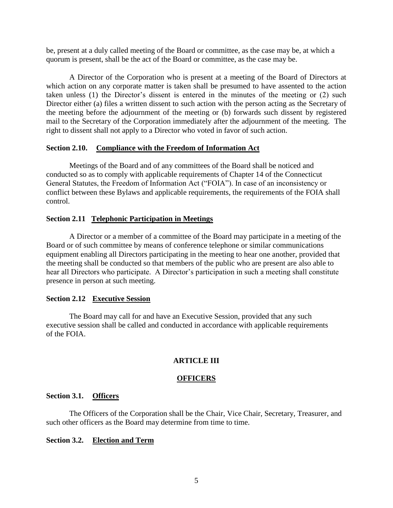be, present at a duly called meeting of the Board or committee, as the case may be, at which a quorum is present, shall be the act of the Board or committee, as the case may be.

A Director of the Corporation who is present at a meeting of the Board of Directors at which action on any corporate matter is taken shall be presumed to have assented to the action taken unless (1) the Director's dissent is entered in the minutes of the meeting or (2) such Director either (a) files a written dissent to such action with the person acting as the Secretary of the meeting before the adjournment of the meeting or (b) forwards such dissent by registered mail to the Secretary of the Corporation immediately after the adjournment of the meeting. The right to dissent shall not apply to a Director who voted in favor of such action.

## **Section 2.10. Compliance with the Freedom of Information Act**

Meetings of the Board and of any committees of the Board shall be noticed and conducted so as to comply with applicable requirements of Chapter 14 of the Connecticut General Statutes, the Freedom of Information Act ("FOIA"). In case of an inconsistency or conflict between these Bylaws and applicable requirements, the requirements of the FOIA shall control.

## **Section 2.11 Telephonic Participation in Meetings**

A Director or a member of a committee of the Board may participate in a meeting of the Board or of such committee by means of conference telephone or similar communications equipment enabling all Directors participating in the meeting to hear one another, provided that the meeting shall be conducted so that members of the public who are present are also able to hear all Directors who participate. A Director's participation in such a meeting shall constitute presence in person at such meeting.

#### **Section 2.12 Executive Session**

The Board may call for and have an Executive Session, provided that any such executive session shall be called and conducted in accordance with applicable requirements of the FOIA.

## **ARTICLE III**

#### **OFFICERS**

## **Section 3.1. Officers**

The Officers of the Corporation shall be the Chair, Vice Chair, Secretary, Treasurer, and such other officers as the Board may determine from time to time.

## **Section 3.2. Election and Term**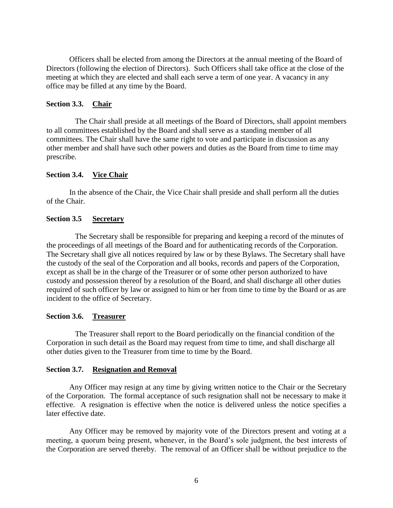Officers shall be elected from among the Directors at the annual meeting of the Board of Directors (following the election of Directors). Such Officers shall take office at the close of the meeting at which they are elected and shall each serve a term of one year. A vacancy in any office may be filled at any time by the Board.

### **Section 3.3. Chair**

The Chair shall preside at all meetings of the Board of Directors, shall appoint members to all committees established by the Board and shall serve as a standing member of all committees. The Chair shall have the same right to vote and participate in discussion as any other member and shall have such other powers and duties as the Board from time to time may prescribe.

#### **Section 3.4. Vice Chair**

In the absence of the Chair, the Vice Chair shall preside and shall perform all the duties of the Chair.

## **Section 3.5 Secretary**

The Secretary shall be responsible for preparing and keeping a record of the minutes of the proceedings of all meetings of the Board and for authenticating records of the Corporation. The Secretary shall give all notices required by law or by these Bylaws. The Secretary shall have the custody of the seal of the Corporation and all books, records and papers of the Corporation, except as shall be in the charge of the Treasurer or of some other person authorized to have custody and possession thereof by a resolution of the Board, and shall discharge all other duties required of such officer by law or assigned to him or her from time to time by the Board or as are incident to the office of Secretary.

#### **Section 3.6. Treasurer**

The Treasurer shall report to the Board periodically on the financial condition of the Corporation in such detail as the Board may request from time to time, and shall discharge all other duties given to the Treasurer from time to time by the Board.

#### **Section 3.7. Resignation and Removal**

Any Officer may resign at any time by giving written notice to the Chair or the Secretary of the Corporation. The formal acceptance of such resignation shall not be necessary to make it effective. A resignation is effective when the notice is delivered unless the notice specifies a later effective date.

Any Officer may be removed by majority vote of the Directors present and voting at a meeting, a quorum being present, whenever, in the Board's sole judgment, the best interests of the Corporation are served thereby. The removal of an Officer shall be without prejudice to the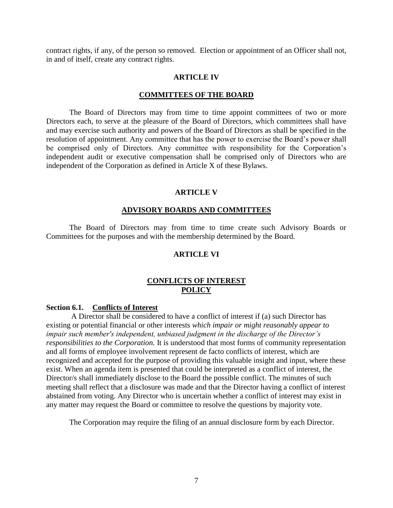contract rights, if any, of the person so removed. Election or appointment of an Officer shall not, in and of itself, create any contract rights.

#### **ARTICLE IV**

#### **COMMITTEES OF THE BOARD**

The Board of Directors may from time to time appoint committees of two or more Directors each, to serve at the pleasure of the Board of Directors, which committees shall have and may exercise such authority and powers of the Board of Directors as shall be specified in the resolution of appointment. Any committee that has the power to exercise the Board's power shall be comprised only of Directors. Any committee with responsibility for the Corporation's independent audit or executive compensation shall be comprised only of Directors who are independent of the Corporation as defined in Article X of these Bylaws.

#### **ARTICLE V**

#### **ADVISORY BOARDS AND COMMITTEES**

The Board of Directors may from time to time create such Advisory Boards or Committees for the purposes and with the membership determined by the Board.

## **ARTICLE VI**

## **CONFLICTS OF INTEREST POLICY**

#### **Section 6.1. Conflicts of Interest**

A Director shall be considered to have a conflict of interest if (a) such Director has existing or potential financial or other interests *which impair or might reasonably appear to impair such member's independent, unbiased judgment in the discharge of the Director's responsibilities to the Corporation.* It is understood that most forms of community representation and all forms of employee involvement represent de facto conflicts of interest, which are recognized and accepted for the purpose of providing this valuable insight and input, where these exist. When an agenda item is presented that could be interpreted as a conflict of interest, the Director/s shall immediately disclose to the Board the possible conflict. The minutes of such meeting shall reflect that a disclosure was made and that the Director having a conflict of interest abstained from voting. Any Director who is uncertain whether a conflict of interest may exist in any matter may request the Board or committee to resolve the questions by majority vote.

The Corporation may require the filing of an annual disclosure form by each Director.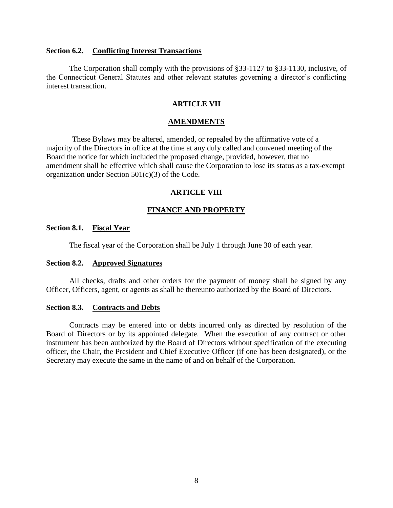## **Section 6.2. Conflicting Interest Transactions**

The Corporation shall comply with the provisions of §33-1127 to §33-1130, inclusive, of the Connecticut General Statutes and other relevant statutes governing a director's conflicting interest transaction.

### **ARTICLE VII**

### **AMENDMENTS**

These Bylaws may be altered, amended, or repealed by the affirmative vote of a majority of the Directors in office at the time at any duly called and convened meeting of the Board the notice for which included the proposed change, provided, however, that no amendment shall be effective which shall cause the Corporation to lose its status as a tax-exempt organization under Section  $501(c)(3)$  of the Code.

## **ARTICLE VIII**

## **FINANCE AND PROPERTY**

#### **Section 8.1. Fiscal Year**

The fiscal year of the Corporation shall be July 1 through June 30 of each year.

#### **Section 8.2. Approved Signatures**

All checks, drafts and other orders for the payment of money shall be signed by any Officer, Officers, agent, or agents as shall be thereunto authorized by the Board of Directors.

## **Section 8.3. Contracts and Debts**

Contracts may be entered into or debts incurred only as directed by resolution of the Board of Directors or by its appointed delegate. When the execution of any contract or other instrument has been authorized by the Board of Directors without specification of the executing officer, the Chair, the President and Chief Executive Officer (if one has been designated), or the Secretary may execute the same in the name of and on behalf of the Corporation.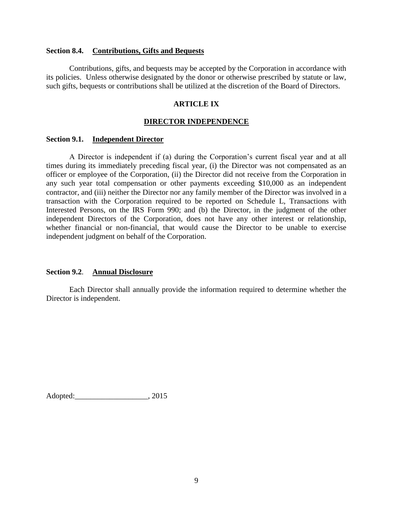## **Section 8.4. Contributions, Gifts and Bequests**

Contributions, gifts, and bequests may be accepted by the Corporation in accordance with its policies. Unless otherwise designated by the donor or otherwise prescribed by statute or law, such gifts, bequests or contributions shall be utilized at the discretion of the Board of Directors.

## **ARTICLE IX**

## **DIRECTOR INDEPENDENCE**

## **Section 9.1. Independent Director**

A Director is independent if (a) during the Corporation's current fiscal year and at all times during its immediately preceding fiscal year, (i) the Director was not compensated as an officer or employee of the Corporation, (ii) the Director did not receive from the Corporation in any such year total compensation or other payments exceeding \$10,000 as an independent contractor, and (iii) neither the Director nor any family member of the Director was involved in a transaction with the Corporation required to be reported on Schedule L, Transactions with Interested Persons, on the IRS Form 990; and (b) the Director, in the judgment of the other independent Directors of the Corporation, does not have any other interest or relationship, whether financial or non-financial, that would cause the Director to be unable to exercise independent judgment on behalf of the Corporation.

## **Section 9.2**. **Annual Disclosure**

Each Director shall annually provide the information required to determine whether the Director is independent.

Adopted:\_\_\_\_\_\_\_\_\_\_\_\_\_\_\_\_\_\_\_, 2015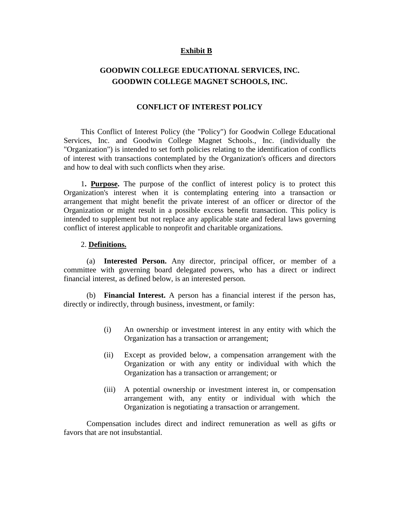## **Exhibit B**

# **GOODWIN COLLEGE EDUCATIONAL SERVICES, INC. GOODWIN COLLEGE MAGNET SCHOOLS, INC.**

## **CONFLICT OF INTEREST POLICY**

This Conflict of Interest Policy (the "Policy") for Goodwin College Educational Services, Inc. and Goodwin College Magnet Schools., Inc. (individually the "Organization") is intended to set forth policies relating to the identification of conflicts of interest with transactions contemplated by the Organization's officers and directors and how to deal with such conflicts when they arise.

1**. Purpose.** The purpose of the conflict of interest policy is to protect this Organization's interest when it is contemplating entering into a transaction or arrangement that might benefit the private interest of an officer or director of the Organization or might result in a possible excess benefit transaction. This policy is intended to supplement but not replace any applicable state and federal laws governing conflict of interest applicable to nonprofit and charitable organizations.

#### 2. **Definitions.**

(a) **Interested Person.** Any director, principal officer, or member of a committee with governing board delegated powers, who has a direct or indirect financial interest, as defined below, is an interested person.

(b) **Financial Interest.** A person has a financial interest if the person has, directly or indirectly, through business, investment, or family:

- (i) An ownership or investment interest in any entity with which the Organization has a transaction or arrangement;
- (ii) Except as provided below, a compensation arrangement with the Organization or with any entity or individual with which the Organization has a transaction or arrangement; or
- (iii) A potential ownership or investment interest in, or compensation arrangement with, any entity or individual with which the Organization is negotiating a transaction or arrangement.

Compensation includes direct and indirect remuneration as well as gifts or favors that are not insubstantial.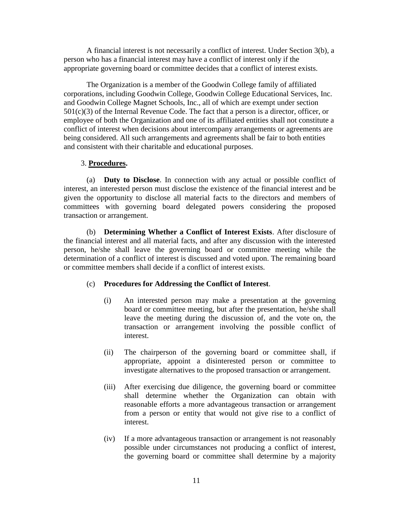A financial interest is not necessarily a conflict of interest. Under Section 3(b), a person who has a financial interest may have a conflict of interest only if the appropriate governing board or committee decides that a conflict of interest exists.

The Organization is a member of the Goodwin College family of affiliated corporations, including Goodwin College, Goodwin College Educational Services, Inc. and Goodwin College Magnet Schools, Inc., all of which are exempt under section  $501(c)(3)$  of the Internal Revenue Code. The fact that a person is a director, officer, or employee of both the Organization and one of its affiliated entities shall not constitute a conflict of interest when decisions about intercompany arrangements or agreements are being considered. All such arrangements and agreements shall be fair to both entities and consistent with their charitable and educational purposes.

## 3. **Procedures.**

(a) **Duty to Disclose**. In connection with any actual or possible conflict of interest, an interested person must disclose the existence of the financial interest and be given the opportunity to disclose all material facts to the directors and members of committees with governing board delegated powers considering the proposed transaction or arrangement.

(b) **Determining Whether a Conflict of Interest Exists**. After disclosure of the financial interest and all material facts, and after any discussion with the interested person, he/she shall leave the governing board or committee meeting while the determination of a conflict of interest is discussed and voted upon. The remaining board or committee members shall decide if a conflict of interest exists.

## (c) **Procedures for Addressing the Conflict of Interest**.

- (i) An interested person may make a presentation at the governing board or committee meeting, but after the presentation, he/she shall leave the meeting during the discussion of, and the vote on, the transaction or arrangement involving the possible conflict of interest.
- (ii) The chairperson of the governing board or committee shall, if appropriate, appoint a disinterested person or committee to investigate alternatives to the proposed transaction or arrangement.
- (iii) After exercising due diligence, the governing board or committee shall determine whether the Organization can obtain with reasonable efforts a more advantageous transaction or arrangement from a person or entity that would not give rise to a conflict of interest.
- (iv) If a more advantageous transaction or arrangement is not reasonably possible under circumstances not producing a conflict of interest, the governing board or committee shall determine by a majority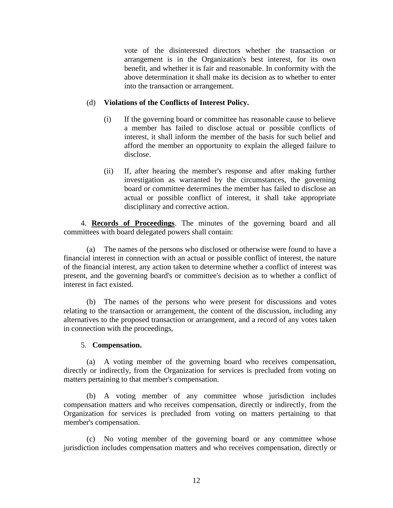vote of the disinterested directors whether the transaction or arrangement is in the Organization's best interest, for its own benefit, and whether it is fair and reasonable. In conformity with the above determination it shall make its decision as to whether to enter into the transaction or arrangement.

## (d) **Violations of the Conflicts of Interest Policy.**

- (i) If the governing board or committee has reasonable cause to believe a member has failed to disclose actual or possible conflicts of interest, it shall inform the member of the basis for such belief and afford the member an opportunity to explain the alleged failure to disclose.
- (ii) If, after hearing the member's response and after making further investigation as warranted by the circumstances, the governing board or committee determines the member has failed to disclose an actual or possible conflict of interest, it shall take appropriate disciplinary and corrective action.

4. **Records of Proceedings**. The minutes of the governing board and all committees with board delegated powers shall contain:

(a) The names of the persons who disclosed or otherwise were found to have a financial interest in connection with an actual or possible conflict of interest, the nature of the financial interest, any action taken to determine whether a conflict of interest was present, and the governing board's or committee's decision as to whether a conflict of interest in fact existed.

(b) The names of the persons who were present for discussions and votes relating to the transaction or arrangement, the content of the discussion, including any alternatives to the proposed transaction or arrangement, and a record of any votes taken in connection with the proceedings,

## 5. **Compensation.**

(a) A voting member of the governing board who receives compensation, directly or indirectly, from the Organization for services is precluded from voting on matters pertaining to that member's compensation.

(b) A voting member of any committee whose jurisdiction includes compensation matters and who receives compensation, directly or indirectly, from the Organization for services is precluded from voting on matters pertaining to that member's compensation.

(c) No voting member of the governing board or any committee whose jurisdiction includes compensation matters and who receives compensation, directly or